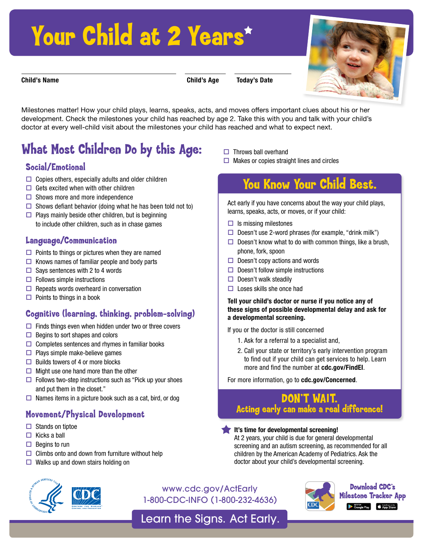# Your Child at 2 Years\*



**Child's Name Child's Age Today's Date**

Milestones matter! How your child plays, learns, speaks, acts, and moves offers important clues about his or her development. Check the milestones your child has reached by age 2. Take this with you and talk with your child's doctor at every well-child visit about the milestones your child has reached and what to expect next.

# What Most Children Do by this Age:

## Social/Emotional

- $\Box$  Copies others, especially adults and older children
- $\Box$  Gets excited when with other children
- $\Box$  Shows more and more independence
- $\Box$  Shows defiant behavior (doing what he has been told not to)
- $\Box$  Plays mainly beside other children, but is beginning to include other children, such as in chase games

## Language/Communication

- $\Box$  Points to things or pictures when they are named
- $\Box$  Knows names of familiar people and body parts
- $\Box$  Says sentences with 2 to 4 words
- $\Box$  Follows simple instructions
- $\Box$  Repeats words overheard in conversation
- $\Box$  Points to things in a book

## Cognitive (learning, thinking, problem-solving)

- $\Box$  Finds things even when hidden under two or three covers
- $\Box$  Begins to sort shapes and colors
- $\Box$  Completes sentences and rhymes in familiar books
- $\Box$  Plays simple make-believe games
- $\Box$  Builds towers of 4 or more blocks
- $\Box$  Might use one hand more than the other
- $\Box$  Follows two-step instructions such as "Pick up your shoes" and put them in the closet."
- $\Box$  Names items in a picture book such as a cat, bird, or dog

## Movement/Physical Development

- $\Box$  Stands on tiptoe
- $\Box$  Kicks a ball
- $\Box$  Begins to run
- $\Box$  Climbs onto and down from furniture without help
- $\Box$  Walks up and down stairs holding on
- $\Box$  Throws ball overhand
- $\Box$  Makes or copies straight lines and circles

## You Know Your Child Best.

Act early if you have concerns about the way your child plays, learns, speaks, acts, or moves, or if your child:

- $\Box$  Is missing milestones
- $\Box$  Doesn't use 2-word phrases (for example, "drink milk")
- $\Box$  Doesn't know what to do with common things, like a brush, phone, fork, spoon
- $\Box$  Doesn't copy actions and words
- $\Box$  Doesn't follow simple instructions
- $\Box$  Doesn't walk steadily
- $\Box$  Loses skills she once had

#### **Tell your child's doctor or nurse if you notice any of these signs of possible developmental delay and ask for a developmental screening.**

If you or the doctor is still concerned

- 1. Ask for a referral to a specialist and,
- 2. Call your state or territory's early intervention program to find out if your child can get services to help. Learn more and find the number at **cdc.gov/FindEI**.

For more information, go to **cdc.gov/Concerned**.

## DON'T WA**I**T. Acting early can make a real difference!

#### **It's time for developmental screening!**

At 2 years, your child is due for general developmental screening and an autism screening, as recommended for all children by the American Academy of Pediatrics. Ask the doctor about your child's developmental screening.



[www.cdc.gov/ActEarly](https://www.cdc.gov/ncbddd/actearly/index.html) 1-800-CDC-INFO (1-800-232-4636)



**Download CDC's Milestone Tracker App** Google Play Constant on the

Learn the Signs. Act Early.